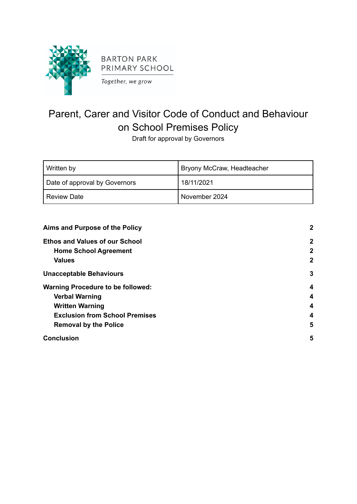

# Parent, Carer and Visitor Code of Conduct and Behaviour on School Premises Policy

Draft for approval by Governors

| Written by                    | Bryony McCraw, Headteacher |
|-------------------------------|----------------------------|
| Date of approval by Governors | 18/11/2021                 |
| <b>Review Date</b>            | November 2024              |

| Aims and Purpose of the Policy           | $\mathbf{2}$ |
|------------------------------------------|--------------|
| <b>Ethos and Values of our School</b>    | $\mathbf{2}$ |
| <b>Home School Agreement</b>             | $\mathbf{2}$ |
| <b>Values</b>                            | $\mathbf{2}$ |
| <b>Unacceptable Behaviours</b>           | 3            |
| <b>Warning Procedure to be followed:</b> | 4            |
| <b>Verbal Warning</b>                    | 4            |
| <b>Written Warning</b>                   | 4            |
| <b>Exclusion from School Premises</b>    | 4            |
| <b>Removal by the Police</b>             | 5            |
| <b>Conclusion</b>                        | 5            |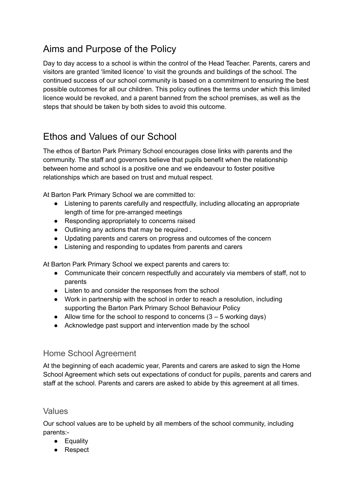# <span id="page-1-0"></span>Aims and Purpose of the Policy

Day to day access to a school is within the control of the Head Teacher. Parents, carers and visitors are granted 'limited licence' to visit the grounds and buildings of the school. The continued success of our school community is based on a commitment to ensuring the best possible outcomes for all our children. This policy outlines the terms under which this limited licence would be revoked, and a parent banned from the school premises, as well as the steps that should be taken by both sides to avoid this outcome.

# <span id="page-1-1"></span>Ethos and Values of our School

The ethos of Barton Park Primary School encourages close links with parents and the community. The staff and governors believe that pupils benefit when the relationship between home and school is a positive one and we endeavour to foster positive relationships which are based on trust and mutual respect.

At Barton Park Primary School we are committed to:

- Listening to parents carefully and respectfully, including allocating an appropriate length of time for pre-arranged meetings
- Responding appropriately to concerns raised
- Outlining any actions that may be required.
- Updating parents and carers on progress and outcomes of the concern
- Listening and responding to updates from parents and carers

At Barton Park Primary School we expect parents and carers to:

- Communicate their concern respectfully and accurately via members of staff, not to parents
- Listen to and consider the responses from the school
- Work in partnership with the school in order to reach a resolution, including supporting the Barton Park Primary School Behaviour Policy
- Allow time for the school to respond to concerns  $(3 5$  working days)
- Acknowledge past support and intervention made by the school

### <span id="page-1-2"></span>Home School Agreement

At the beginning of each academic year, Parents and carers are asked to sign the Home School Agreement which sets out expectations of conduct for pupils, parents and carers and staff at the school. Parents and carers are asked to abide by this agreement at all times.

#### <span id="page-1-3"></span>Values

Our school values are to be upheld by all members of the school community, including parents:-

- Equality
- Respect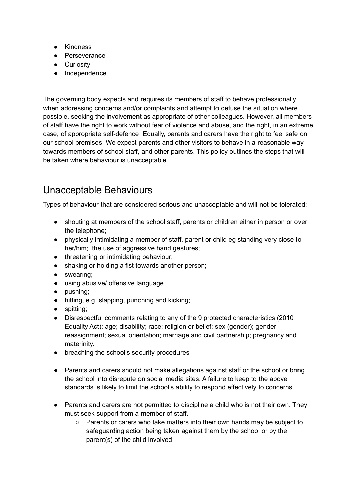- Kindness
- Perseverance
- Curiositv
- Independence

The governing body expects and requires its members of staff to behave professionally when addressing concerns and/or complaints and attempt to defuse the situation where possible, seeking the involvement as appropriate of other colleagues. However, all members of staff have the right to work without fear of violence and abuse, and the right, in an extreme case, of appropriate self-defence. Equally, parents and carers have the right to feel safe on our school premises. We expect parents and other visitors to behave in a reasonable way towards members of school staff, and other parents. This policy outlines the steps that will be taken where behaviour is unacceptable.

### <span id="page-2-0"></span>Unacceptable Behaviours

Types of behaviour that are considered serious and unacceptable and will not be tolerated:

- shouting at members of the school staff, parents or children either in person or over the telephone;
- physically intimidating a member of staff, parent or child eg standing very close to her/him; the use of aggressive hand gestures;
- threatening or intimidating behaviour;
- shaking or holding a fist towards another person;
- swearing;
- using abusive/ offensive language
- pushing;
- hitting, e.g. slapping, punching and kicking;
- spitting;
- Disrespectful comments relating to any of the 9 protected characteristics (2010 Equality Act): age; disability; race; religion or belief; sex (gender); gender reassignment; sexual orientation; marriage and civil partnership; pregnancy and materinity.
- breaching the school's security procedures
- Parents and carers should not make allegations against staff or the school or bring the school into disrepute on social media sites. A failure to keep to the above standards is likely to limit the school's ability to respond effectively to concerns.
- Parents and carers are not permitted to discipline a child who is not their own. They must seek support from a member of staff.
	- Parents or carers who take matters into their own hands may be subject to safeguarding action being taken against them by the school or by the parent(s) of the child involved.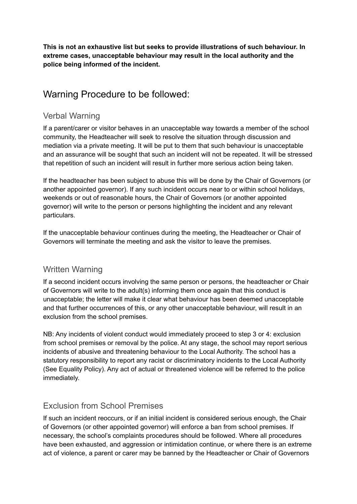**This is not an exhaustive list but seeks to provide illustrations of such behaviour. In extreme cases, unacceptable behaviour may result in the local authority and the police being informed of the incident.**

### <span id="page-3-0"></span>Warning Procedure to be followed:

### <span id="page-3-1"></span>Verbal Warning

If a parent/carer or visitor behaves in an unacceptable way towards a member of the school community, the Headteacher will seek to resolve the situation through discussion and mediation via a private meeting. It will be put to them that such behaviour is unacceptable and an assurance will be sought that such an incident will not be repeated. It will be stressed that repetition of such an incident will result in further more serious action being taken.

If the headteacher has been subject to abuse this will be done by the Chair of Governors (or another appointed governor). If any such incident occurs near to or within school holidays, weekends or out of reasonable hours, the Chair of Governors (or another appointed governor) will write to the person or persons highlighting the incident and any relevant particulars.

If the unacceptable behaviour continues during the meeting, the Headteacher or Chair of Governors will terminate the meeting and ask the visitor to leave the premises.

### <span id="page-3-2"></span>Written Warning

If a second incident occurs involving the same person or persons, the headteacher or Chair of Governors will write to the adult(s) informing them once again that this conduct is unacceptable; the letter will make it clear what behaviour has been deemed unacceptable and that further occurrences of this, or any other unacceptable behaviour, will result in an exclusion from the school premises.

NB: Any incidents of violent conduct would immediately proceed to step 3 or 4: exclusion from school premises or removal by the police. At any stage, the school may report serious incidents of abusive and threatening behaviour to the Local Authority. The school has a statutory responsibility to report any racist or discriminatory incidents to the Local Authority (See Equality Policy). Any act of actual or threatened violence will be referred to the police immediately.

### <span id="page-3-3"></span>Exclusion from School Premises

If such an incident reoccurs, or if an initial incident is considered serious enough, the Chair of Governors (or other appointed governor) will enforce a ban from school premises. If necessary, the school's complaints procedures should be followed. Where all procedures have been exhausted, and aggression or intimidation continue, or where there is an extreme act of violence, a parent or carer may be banned by the Headteacher or Chair of Governors